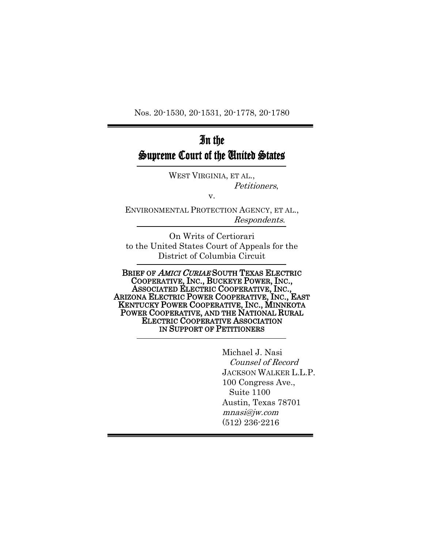Nos. 20-1530, 20-1531, 20-1778, 20-1780

# In the Supreme Court of the United States

WEST VIRGINIA, ET AL., Petitioners,

v.

ENVIRONMENTAL PROTECTION AGENCY, ET AL., Respondents.

On Writs of Certiorari to the United States Court of Appeals for the District of Columbia Circuit

BRIEF OF AMICI CURIAE SOUTH TEXAS ELECTRIC COOPERATIVE, INC., BUCKEYE POWER, INC., ASSOCIATED ELECTRIC COOPERATIVE, INC., ARIZONA ELECTRIC POWER COOPERATIVE, INC., EAST KENTUCKY POWER COOPERATIVE, INC., MINNKOTA POWER COOPERATIVE, AND THE NATIONAL RURAL ELECTRIC COOPERATIVE ASSOCIATION IN SUPPORT OF PETITIONERS

> Michael J. Nasi Counsel of Record JACKSON WALKER L.L.P. 100 Congress Ave., Suite 1100 Austin, Texas 78701 mnasi@jw.com (512) 236-2216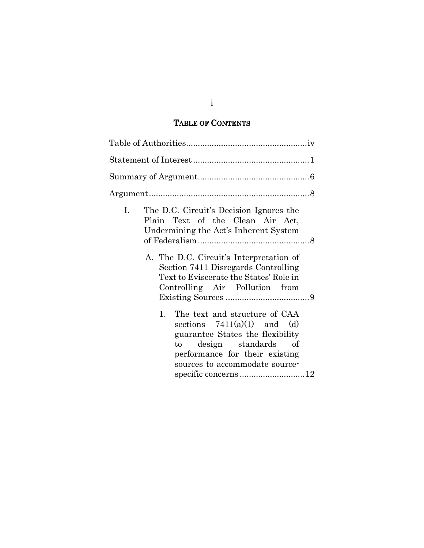## TABLE OF CONTENTS

| I. | The D.C. Circuit's Decision Ignores the<br>Plain Text of the Clean Air Act,<br>Undermining the Act's Inherent System<br>A. The D.C. Circuit's Interpretation of<br>Section 7411 Disregards Controlling<br>Text to Eviscerate the States' Role in<br>Controlling Air Pollution from |
|----|------------------------------------------------------------------------------------------------------------------------------------------------------------------------------------------------------------------------------------------------------------------------------------|
| 1. | The text and structure of CAA<br>sections $7411(a)(1)$ and (d)<br>guarantee States the flexibility<br>design standards of<br>to to<br>performance for their existing<br>sources to accommodate source-                                                                             |

### i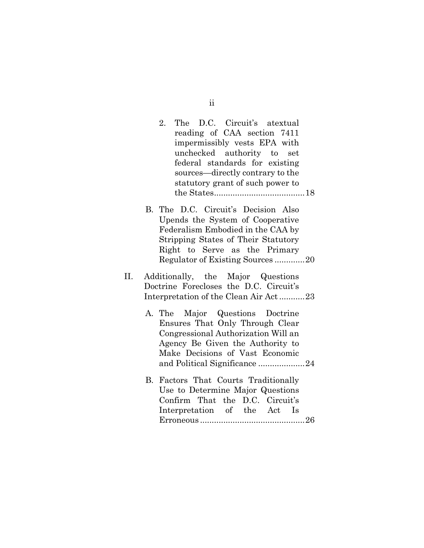| The D.C. Circuit's atextual<br>2.<br>reading of CAA section 7411                  |
|-----------------------------------------------------------------------------------|
| impermissibly vests EPA with                                                      |
| unchecked authority to set                                                        |
| federal standards for existing<br>sources—directly contrary to the                |
| statutory grant of such power to                                                  |
|                                                                                   |
| B. The D.C. Circuit's Decision Also                                               |
| Upends the System of Cooperative                                                  |
| Federalism Embodied in the CAA by                                                 |
| Stripping States of Their Statutory<br>Right to Serve as the Primary              |
| Regulator of Existing Sources20                                                   |
|                                                                                   |
| П.<br>Additionally, the Major Questions<br>Doctrine Forecloses the D.C. Circuit's |
| Interpretation of the Clean Air Act23                                             |
|                                                                                   |
| Major Questions Doctrine<br>A. The                                                |
| Ensures That Only Through Clear<br>Congressional Authorization Will an            |
| Agency Be Given the Authority to                                                  |
| Make Decisions of Vast Economic                                                   |
| and Political Significance 24                                                     |
| Factors That Courts Traditionally<br>В.                                           |
| Use to Determine Major Questions                                                  |
| Confirm That the D.C. Circuit's                                                   |
| Interpretation of the Act Is                                                      |
|                                                                                   |

ii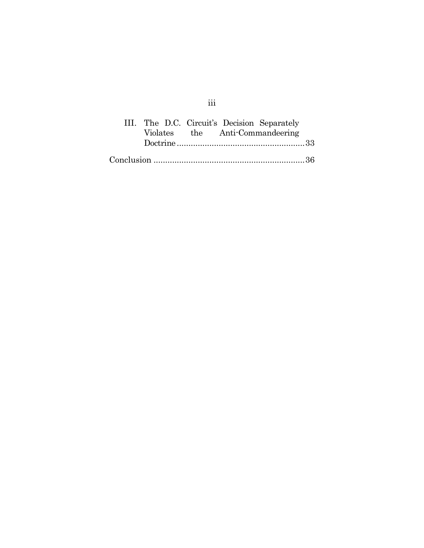|  |  | III. The D.C. Circuit's Decision Separately |  |
|--|--|---------------------------------------------|--|
|  |  | Violates the Anti-Commandeering             |  |
|  |  |                                             |  |
|  |  |                                             |  |

iii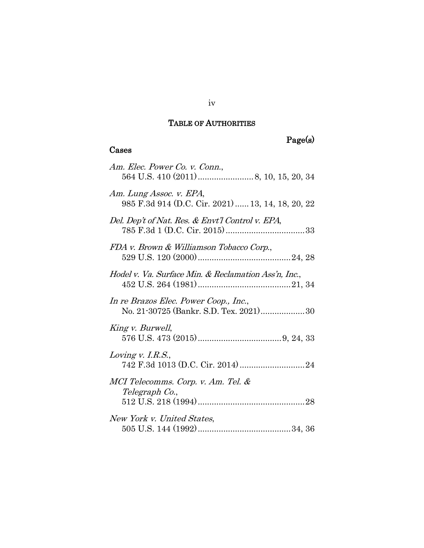## TABLE OF AUTHORITIES

# Page(s)

# Cases

| Am. Elec. Power Co. v. Conn.,                                                   |
|---------------------------------------------------------------------------------|
| Am. Lung Assoc. v. EPA,<br>985 F.3d 914 (D.C. Cir. 2021)  13, 14, 18, 20, 22    |
| Del. Dep't of Nat. Res. & Envt'l Control v. EPA,                                |
| FDA v. Brown & Williamson Tobacco Corp.,                                        |
| Hodel v. Va. Surface Min. & Reclamation Ass'n, Inc.,                            |
| In re Brazos Elec. Power Coop., Inc.,<br>No. 21-30725 (Bankr. S.D. Tex. 2021)30 |
| King v. Burwell,                                                                |
| Loving v. I.R.S.,                                                               |
| MCI Telecomms. Corp. v. Am. Tel. &<br>Telegraph Co.,                            |
| New York v. United States,                                                      |

### iv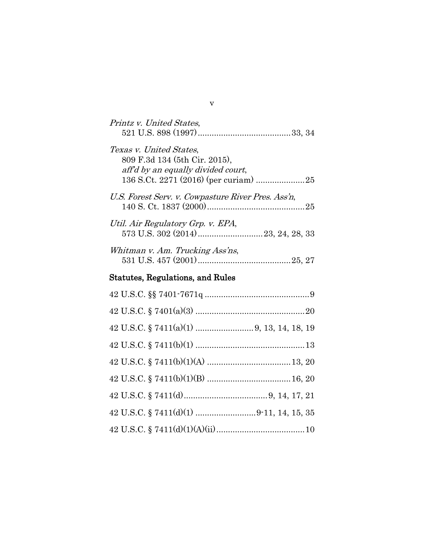| Printz v. United States,                                                                       |
|------------------------------------------------------------------------------------------------|
| Texas v. United States,<br>809 F.3d 134 (5th Cir. 2015),<br>aff'd by an equally divided court, |
| U.S. Forest Serv. v. Cowpasture River Pres. Ass'n,                                             |
| Util. Air Regulatory Grp. v. EPA,                                                              |
| Whitman v. Am. Trucking Ass'ns,                                                                |
| Statutes, Regulations, and Rules                                                               |
|                                                                                                |
|                                                                                                |
|                                                                                                |
|                                                                                                |
|                                                                                                |
|                                                                                                |
|                                                                                                |
|                                                                                                |
|                                                                                                |

v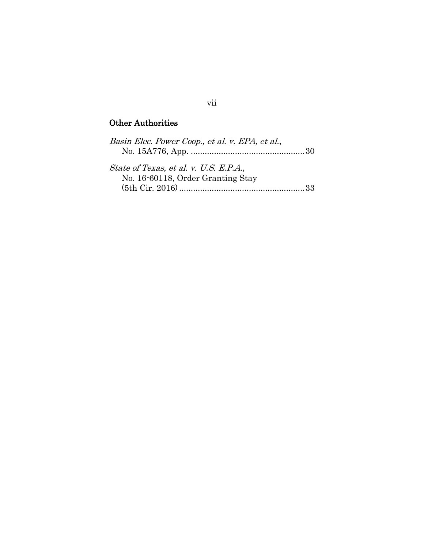# Other Authorities

| Basin Elec. Power Coop., et al. v. EPA, et al., |     |
|-------------------------------------------------|-----|
|                                                 |     |
| State of Texas, et al. v. U.S. E.P.A.,          |     |
| No. 16-60118, Order Granting Stay               |     |
|                                                 | -33 |

### vii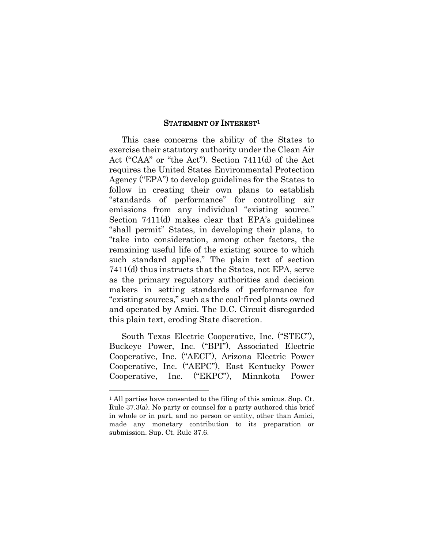#### STATEMENT OF INTEREST<sup>1</sup>

This case concerns the ability of the States to exercise their statutory authority under the Clean Air Act ("CAA" or "the Act"). Section 7411(d) of the Act requires the United States Environmental Protection Agency ("EPA") to develop guidelines for the States to follow in creating their own plans to establish "standards of performance" for controlling air emissions from any individual "existing source." Section 7411(d) makes clear that EPA's guidelines "shall permit" States, in developing their plans, to "take into consideration, among other factors, the remaining useful life of the existing source to which such standard applies." The plain text of section 7411(d) thus instructs that the States, not EPA, serve as the primary regulatory authorities and decision makers in setting standards of performance for "existing sources," such as the coal-fired plants owned and operated by Amici. The D.C. Circuit disregarded this plain text, eroding State discretion.

South Texas Electric Cooperative, Inc. ("STEC"), Buckeye Power, Inc. ("BPI"), Associated Electric Cooperative, Inc. ("AECI"), Arizona Electric Power Cooperative, Inc. ("AEPC"), East Kentucky Power Cooperative, Inc. ("EKPC"), Minnkota Power

<span id="page-8-0"></span>

<span id="page-8-1"></span><sup>1</sup> All parties have consented to the filing of this amicus. Sup. Ct. Rule 37.3(a). No party or counsel for a party authored this brief in whole or in part, and no person or entity, other than Amici, made any monetary contribution to its preparation or submission. Sup. Ct. Rule 37.6.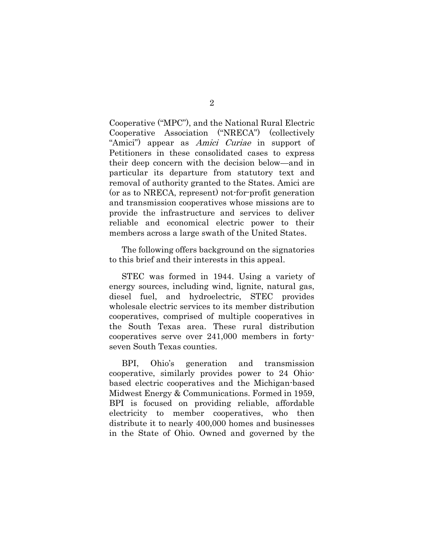Cooperative ("MPC"), and the National Rural Electric Cooperative Association ("NRECA") (collectively "Amici") appear as *Amici Curiae* in support of Petitioners in these consolidated cases to express their deep concern with the decision below—and in particular its departure from statutory text and removal of authority granted to the States. Amici are (or as to NRECA, represent) not-for-profit generation and transmission cooperatives whose missions are to provide the infrastructure and services to deliver reliable and economical electric power to their members across a large swath of the United States.

The following offers background on the signatories to this brief and their interests in this appeal.

STEC was formed in 1944. Using a variety of energy sources, including wind, lignite, natural gas, diesel fuel, and hydroelectric, STEC provides wholesale electric services to its member distribution cooperatives, comprised of multiple cooperatives in the South Texas area. These rural distribution cooperatives serve over 241,000 members in fortyseven South Texas counties.

BPI, Ohio's generation and transmission cooperative, similarly provides power to 24 Ohiobased electric cooperatives and the Michigan-based Midwest Energy & Communications. Formed in 1959, BPI is focused on providing reliable, affordable electricity to member cooperatives, who then distribute it to nearly 400,000 homes and businesses in the State of Ohio. Owned and governed by the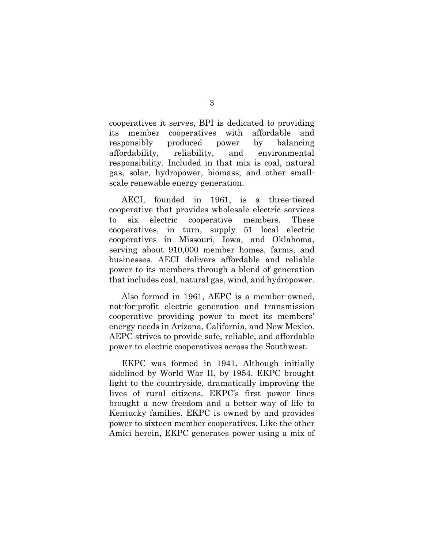cooperatives it serves, BPI is dedicated to providing its member cooperatives with affordable and responsibly produced power by balancing affordability, reliability, and environmental responsibility. Included in that mix is coal, natural gas, solar, hydropower, biomass, and other smallscale renewable energy generation.

AECI, founded in 1961, is a three-tiered cooperative that provides wholesale electric services to six electric cooperative members. These cooperatives, in turn, supply 51 local electric cooperatives in Missouri, Iowa, and Oklahoma, serving about 910,000 member homes, farms, and businesses. AECI delivers affordable and reliable power to its members through a blend of generation that includes coal, natural gas, wind, and hydropower.

Also formed in 1961, AEPC is a member-owned, not-for-profit electric generation and transmission cooperative providing power to meet its members' energy needs in Arizona, California, and New Mexico. AEPC strives to provide safe, reliable, and affordable power to electric cooperatives across the Southwest.

EKPC was formed in 1941. Although initially sidelined by World War II, by 1954, EKPC brought light to the countryside, dramatically improving the lives of rural citizens. EKPC's first power lines brought a new freedom and a better way of life to Kentucky families. EKPC is owned by and provides power to sixteen member cooperatives. Like the other Amici herein, EKPC generates power using a mix of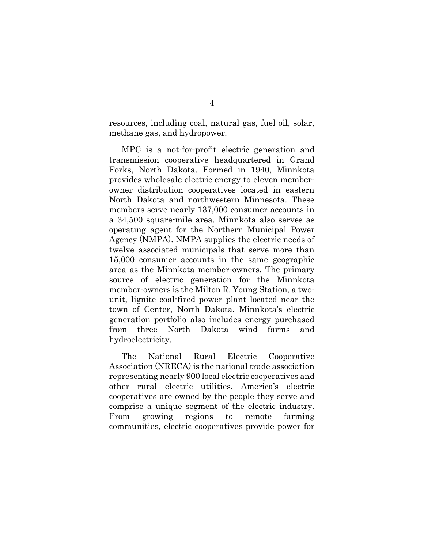resources, including coal, natural gas, fuel oil, solar, methane gas, and hydropower.

MPC is a not-for-profit electric generation and transmission cooperative headquartered in Grand Forks, North Dakota. Formed in 1940, Minnkota provides wholesale electric energy to eleven memberowner distribution cooperatives located in eastern North Dakota and northwestern Minnesota. These members serve nearly 137,000 consumer accounts in a 34,500 square-mile area. Minnkota also serves as operating agent for the Northern Municipal Power Agency (NMPA). NMPA supplies the electric needs of twelve associated municipals that serve more than 15,000 consumer accounts in the same geographic area as the Minnkota member-owners. The primary source of electric generation for the Minnkota member-owners is the Milton R. Young Station, a twounit, lignite coal-fired power plant located near the town of Center, North Dakota. Minnkota's electric generation portfolio also includes energy purchased from three North Dakota wind farms and hydroelectricity.

The National Rural Electric Cooperative Association (NRECA) is the national trade association representing nearly 900 local electric cooperatives and other rural electric utilities. America's electric cooperatives are owned by the people they serve and comprise a unique segment of the electric industry. From growing regions to remote farming communities, electric cooperatives provide power for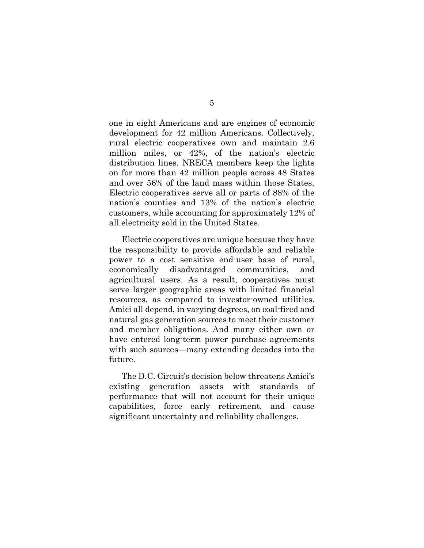one in eight Americans and are engines of economic development for 42 million Americans. Collectively, rural electric cooperatives own and maintain 2.6 million miles, or 42%, of the nation's electric distribution lines. NRECA members keep the lights on for more than 42 million people across 48 States and over 56% of the land mass within those States. Electric cooperatives serve all or parts of 88% of the nation's counties and 13% of the nation's electric customers, while accounting for approximately 12% of all electricity sold in the United States.

Electric cooperatives are unique because they have the responsibility to provide affordable and reliable power to a cost sensitive end-user base of rural, economically disadvantaged communities, and agricultural users. As a result, cooperatives must serve larger geographic areas with limited financial resources, as compared to investor-owned utilities. Amici all depend, in varying degrees, on coal-fired and natural gas generation sources to meet their customer and member obligations. And many either own or have entered long-term power purchase agreements with such sources—many extending decades into the future.

The D.C. Circuit's decision below threatens Amici's existing generation assets with standards of performance that will not account for their unique capabilities, force early retirement, and cause significant uncertainty and reliability challenges.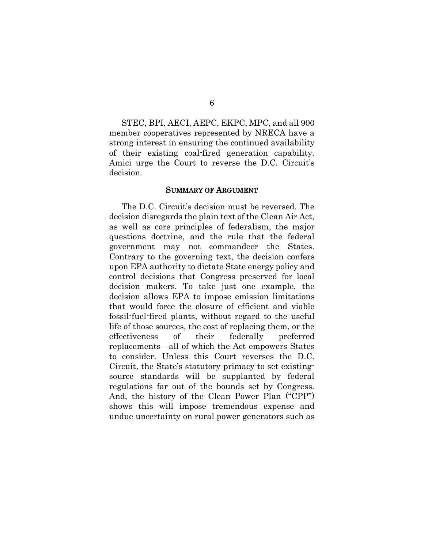STEC, BPI, AECI, AEPC, EKPC, MPC, and all 900 member cooperatives represented by NRECA have a strong interest in ensuring the continued availability of their existing coal-fired generation capability. Amici urge the Court to reverse the D.C. Circuit's decision.

#### SUMMARY OF ARGUMENT

The D.C. Circuit's decision must be reversed. The decision disregards the plain text of the Clean Air Act, as well as core principles of federalism, the major questions doctrine, and the rule that the federal government may not commandeer the States. Contrary to the governing text, the decision confers upon EPA authority to dictate State energy policy and control decisions that Congress preserved for local decision makers. To take just one example, the decision allows EPA to impose emission limitations that would force the closure of efficient and viable fossil-fuel-fired plants, without regard to the useful life of those sources, the cost of replacing them, or the effectiveness of their federally preferred replacements—all of which the Act empowers States to consider. Unless this Court reverses the D.C. Circuit, the State's statutory primacy to set existingsource standards will be supplanted by federal regulations far out of the bounds set by Congress. And, the history of the Clean Power Plan ("CPP") shows this will impose tremendous expense and undue uncertainty on rural power generators such as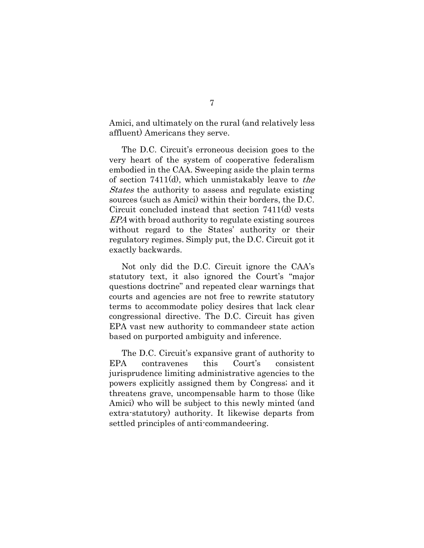Amici, and ultimately on the rural (and relatively less affluent) Americans they serve.

The D.C. Circuit's erroneous decision goes to the very heart of the system of cooperative federalism embodied in the CAA. Sweeping aside the plain terms of section 7411(d), which unmistakably leave to the States the authority to assess and regulate existing sources (such as Amici) within their borders, the D.C. Circuit concluded instead that section 7411(d) vests EPA with broad authority to regulate existing sources without regard to the States' authority or their regulatory regimes. Simply put, the D.C. Circuit got it exactly backwards.

Not only did the D.C. Circuit ignore the CAA's statutory text, it also ignored the Court's "major questions doctrine" and repeated clear warnings that courts and agencies are not free to rewrite statutory terms to accommodate policy desires that lack clear congressional directive. The D.C. Circuit has given EPA vast new authority to commandeer state action based on purported ambiguity and inference.

The D.C. Circuit's expansive grant of authority to EPA contravenes this Court's consistent jurisprudence limiting administrative agencies to the powers explicitly assigned them by Congress; and it threatens grave, uncompensable harm to those (like Amici) who will be subject to this newly minted (and extra-statutory) authority. It likewise departs from settled principles of anti-commandeering.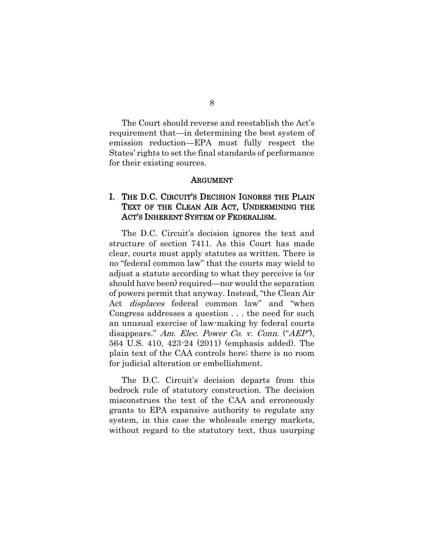8

The Court should reverse and reestablish the Act's requirement that—in determining the best system of emission reduction—EPA must fully respect the States' rights to set the final standards of performance for their existing sources.

#### ARGUMENT

### I. THE D.C. CIRCUIT'S DECISION IGNORES THE PLAIN TEXT OF THE CLEAN AIR ACT, UNDERMINING THE ACT'S INHERENT SYSTEM OF FEDERALISM.

The D.C. Circuit's decision ignores the text and structure of section 7411. As this Court has made clear, courts must apply statutes as written. There is no "federal common law" that the courts may wield to adjust a statute according to what they perceive is (or should have been) required—nor would the separation of powers permit that anyway. Instead, "the Clean Air Act *displaces* federal common law" and "when Congress addresses a question . . . the need for such an unusual exercise of law-making by federal courts disappears." Am. Elec. Power Co. v. Conn. ("AEP"), 564 U.S. 410, 423-24 (2011) (emphasis added). The plain text of the CAA controls here; there is no room for judicial alteration or embellishment.

<span id="page-15-0"></span>The D.C. Circuit's decision departs from this bedrock rule of statutory construction. The decision misconstrues the text of the CAA and erroneously grants to EPA expansive authority to regulate any system, in this case the wholesale energy markets, without regard to the statutory text, thus usurping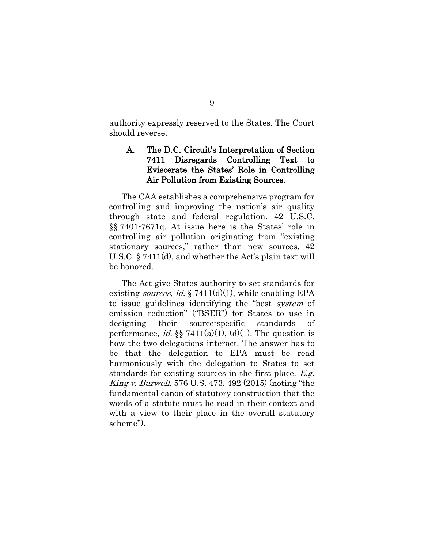authority expressly reserved to the States. The Court should reverse.

### <span id="page-16-1"></span>A. The D.C. Circuit's Interpretation of Section 7411 Disregards Controlling Text to Eviscerate the States' Role in Controlling Air Pollution from Existing Sources.

The CAA establishes a comprehensive program for controlling and improving the nation's air quality through state and federal regulation. 42 U.S.C. §§ 7401-7671q. At issue here is the States' role in controlling air pollution originating from "existing stationary sources," rather than new sources, 42 U.S.C. § 7411(d), and whether the Act's plain text will be honored.

<span id="page-16-3"></span><span id="page-16-2"></span><span id="page-16-0"></span>The Act give States authority to set standards for existing *sources*, *id.*  $\S 7411(d)(1)$ , while enabling EPA to issue guidelines identifying the "best system of emission reduction" ("BSER") for States to use in designing their source-specific standards of performance, *id.* §§ 7411(a)(1), (d)(1). The question is how the two delegations interact. The answer has to be that the delegation to EPA must be read harmoniously with the delegation to States to set standards for existing sources in the first place. E.g. King v. Burwell, 576 U.S. 473, 492 (2015) (noting "the fundamental canon of statutory construction that the words of a statute must be read in their context and with a view to their place in the overall statutory scheme").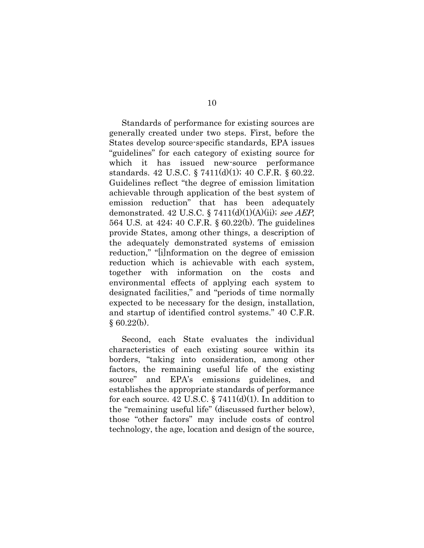<span id="page-17-2"></span><span id="page-17-1"></span><span id="page-17-0"></span>Standards of performance for existing sources are generally created under two steps. First, before the States develop source-specific standards, EPA issues "guidelines" for each category of existing source for which it has issued new-source performance standards. 42 U.S.C. § 7411(d)(1); 40 C.F.R. § 60.22. Guidelines reflect "the degree of emission limitation achievable through application of the best system of emission reduction" that has been adequately demonstrated. 42 U.S.C. § 7411(d)(1)(A)(ii); see AEP, 564 U.S. at 424; 40 C.F.R. § 60.22(b). The guidelines provide States, among other things, a description of the adequately demonstrated systems of emission reduction," "[i]nformation on the degree of emission reduction which is achievable with each system, together with information on the costs and environmental effects of applying each system to designated facilities," and "periods of time normally expected to be necessary for the design, installation, and startup of identified control systems." 40 C.F.R.  $§ 60.22(b).$ 

Second, each State evaluates the individual characteristics of each existing source within its borders, "taking into consideration, among other factors, the remaining useful life of the existing source" and EPA's emissions guidelines, and establishes the appropriate standards of performance for each source. 42 U.S.C.  $\S 7411(d)(1)$ . In addition to the "remaining useful life" (discussed further below), those "other factors" may include costs of control technology, the age, location and design of the source,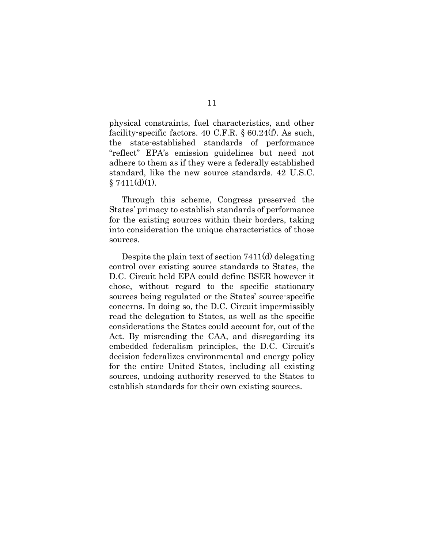<span id="page-18-1"></span>physical constraints, fuel characteristics, and other facility-specific factors. 40 C.F.R. § 60.24(f). As such, the state-established standards of performance "reflect" EPA's emission guidelines but need not adhere to them as if they were a federally established standard, like the new source standards. 42 U.S.C.  $§ 7411(d)(1).$ 

<span id="page-18-0"></span>Through this scheme, Congress preserved the States' primacy to establish standards of performance for the existing sources within their borders, taking into consideration the unique characteristics of those sources.

Despite the plain text of section 7411(d) delegating control over existing source standards to States, the D.C. Circuit held EPA could define BSER however it chose, without regard to the specific stationary sources being regulated or the States' source-specific concerns. In doing so, the D.C. Circuit impermissibly read the delegation to States, as well as the specific considerations the States could account for, out of the Act. By misreading the CAA, and disregarding its embedded federalism principles, the D.C. Circuit's decision federalizes environmental and energy policy for the entire United States, including all existing sources, undoing authority reserved to the States to establish standards for their own existing sources.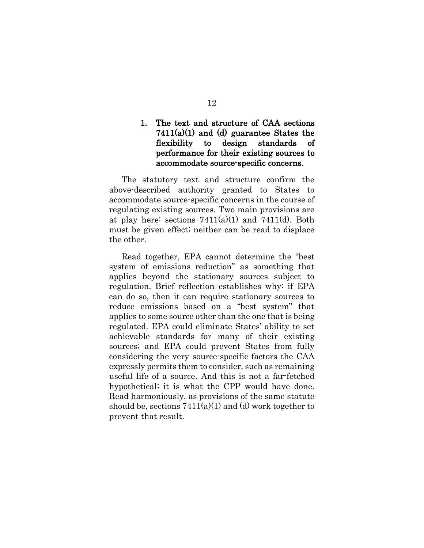### 1. The text and structure of CAA sections  $7411(a)(1)$  and (d) guarantee States the flexibility to design standards of performance for their existing sources to accommodate source-specific concerns.

The statutory text and structure confirm the above-described authority granted to States to accommodate source-specific concerns in the course of regulating existing sources. Two main provisions are at play here: sections  $7411(a)(1)$  and  $7411(d)$ . Both must be given effect; neither can be read to displace the other.

Read together, EPA cannot determine the "best system of emissions reduction" as something that applies beyond the stationary sources subject to regulation. Brief reflection establishes why: if EPA can do so, then it can require stationary sources to reduce emissions based on a "best system" that applies to some source other than the one that is being regulated. EPA could eliminate States' ability to set achievable standards for many of their existing sources; and EPA could prevent States from fully considering the very source-specific factors the CAA expressly permits them to consider, such as remaining useful life of a source. And this is not a far-fetched hypothetical; it is what the CPP would have done. Read harmoniously, as provisions of the same statute should be, sections  $7411(a)(1)$  and (d) work together to prevent that result.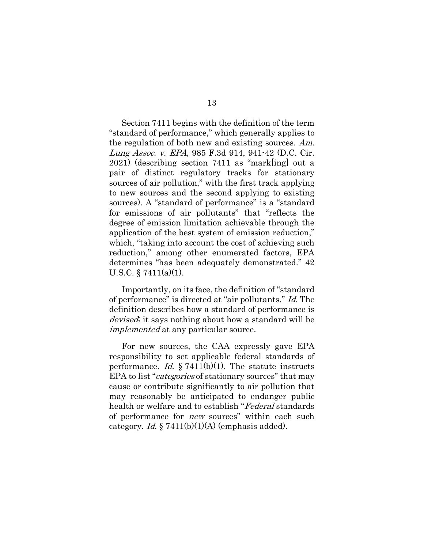<span id="page-20-0"></span>Section 7411 begins with the definition of the term "standard of performance," which generally applies to the regulation of both new and existing sources. Am. Lung Assoc. v. EPA, 985 F.3d 914, 941-42 (D.C. Cir. 2021) (describing section 7411 as "mark[ing] out a pair of distinct regulatory tracks for stationary sources of air pollution," with the first track applying to new sources and the second applying to existing sources). A "standard of performance" is a "standard for emissions of air pollutants" that "reflects the degree of emission limitation achievable through the application of the best system of emission reduction," which, "taking into account the cost of achieving such reduction," among other enumerated factors, EPA determines "has been adequately demonstrated." 42 U.S.C.  $\S 7411(a)(1)$ .

<span id="page-20-1"></span>Importantly, on its face, the definition of "standard of performance" is directed at "air pollutants." Id. The definition describes how a standard of performance is devised; it says nothing about how a standard will be implemented at any particular source.

<span id="page-20-3"></span><span id="page-20-2"></span>For new sources, the CAA expressly gave EPA responsibility to set applicable federal standards of performance. Id.  $\S$  7411(b)(1). The statute instructs EPA to list "*categories* of stationary sources" that may cause or contribute significantly to air pollution that may reasonably be anticipated to endanger public health or welfare and to establish "Federal standards" of performance for new sources" within each such category. *Id.* § 7411(b)(1)(A) (emphasis added).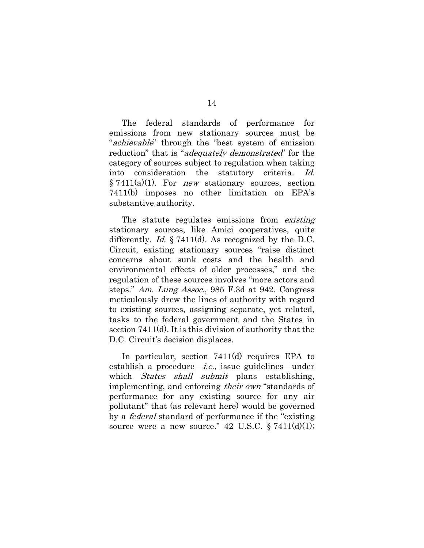The federal standards of performance for emissions from new stationary sources must be "achievable" through the "best system of emission reduction" that is "*adequately demonstrated*" for the category of sources subject to regulation when taking into consideration the statutory criteria. Id.  $§ 7411(a)(1)$ . For *new* stationary sources, section 7411(b) imposes no other limitation on EPA's substantive authority.

<span id="page-21-2"></span><span id="page-21-1"></span><span id="page-21-0"></span>The statute regulates emissions from *existing* stationary sources, like Amici cooperatives, quite differently. *Id.* § 7411(d). As recognized by the D.C. Circuit, existing stationary sources "raise distinct concerns about sunk costs and the health and environmental effects of older processes," and the regulation of these sources involves "more actors and steps." Am. Lung Assoc., 985 F.3d at 942. Congress meticulously drew the lines of authority with regard to existing sources, assigning separate, yet related, tasks to the federal government and the States in section 7411(d). It is this division of authority that the D.C. Circuit's decision displaces.

<span id="page-21-3"></span>In particular, section 7411(d) requires EPA to establish a procedure—i.e., issue guidelines—under which States shall submit plans establishing, implementing, and enforcing their own "standards of performance for any existing source for any air pollutant" that (as relevant here) would be governed by a federal standard of performance if the "existing source were a new source." 42 U.S.C.  $\S 7411(d)(1);$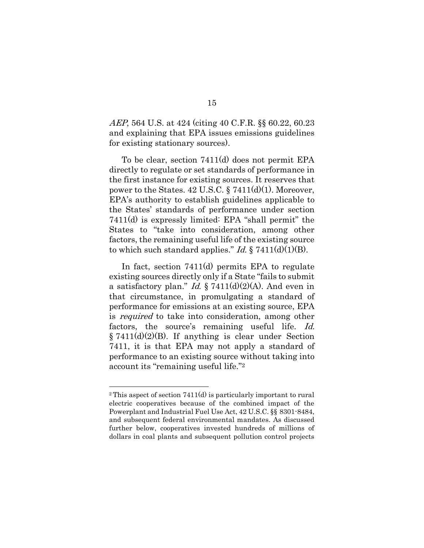<span id="page-22-7"></span><span id="page-22-6"></span><span id="page-22-0"></span>AEP, 564 U.S. at 424 (citing 40 C.F.R. §§ 60.22, 60.23 and explaining that EPA issues emissions guidelines for existing stationary sources).

<span id="page-22-1"></span>To be clear, section 7411(d) does not permit EPA directly to regulate or set standards of performance in the first instance for existing sources. It reserves that power to the States. 42 U.S.C. § 7411(d)(1). Moreover, EPA's authority to establish guidelines applicable to the States' standards of performance under section 7411(d) is expressly limited: EPA "shall permit" the States to "take into consideration, among other factors, the remaining useful life of the existing source to which such standard applies." Id.  $\S$  7411(d)(1)(B).

<span id="page-22-3"></span><span id="page-22-2"></span>In fact, section 7411(d) permits EPA to regulate existing sources directly only if a State "fails to submit a satisfactory plan." *Id.*  $\S 7411(d)(2)(A)$ . And even in that circumstance, in promulgating a standard of performance for emissions at an existing source, EPA is required to take into consideration, among other factors, the source's remaining useful life. Id. § 7411(d)(2)(B). If anything is clear under Section 7411, it is that EPA may not apply a standard of performance to an existing source without taking into account its "remaining useful life."<sup>2</sup>

<span id="page-22-4"></span>

<span id="page-22-5"></span><sup>2</sup> This aspect of section 7411(d) is particularly important to rural electric cooperatives because of the combined impact of the Powerplant and Industrial Fuel Use Act, 42 U.S.C. §§ 8301-8484, and subsequent federal environmental mandates. As discussed further below, cooperatives invested hundreds of millions of dollars in coal plants and subsequent pollution control projects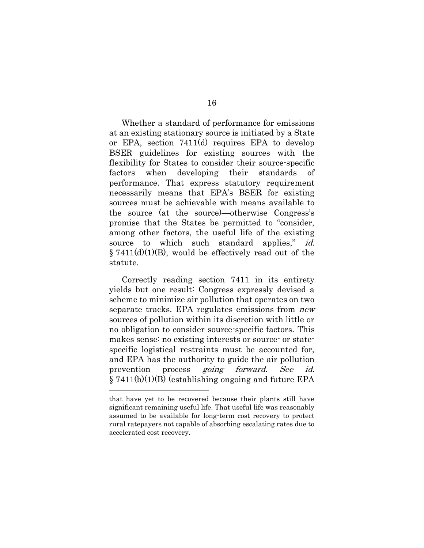Whether a standard of performance for emissions at an existing stationary source is initiated by a State or EPA, section 7411(d) requires EPA to develop BSER guidelines for existing sources with the flexibility for States to consider their source-specific factors when developing their standards of performance. That express statutory requirement necessarily means that EPA's BSER for existing sources must be achievable with means available to the source (at the source)—otherwise Congress's promise that the States be permitted to "consider, among other factors, the useful life of the existing source to which such standard applies," id. § 7411(d)(1)(B), would be effectively read out of the statute.

Correctly reading section 7411 in its entirety yields but one result: Congress expressly devised a scheme to minimize air pollution that operates on two separate tracks. EPA regulates emissions from new sources of pollution within its discretion with little or no obligation to consider source-specific factors. This makes sense: no existing interests or source- or statespecific logistical restraints must be accounted for, and EPA has the authority to guide the air pollution prevention process going forward. See id. § 7411(b)(1)(B) (establishing ongoing and future EPA

<span id="page-23-0"></span>

that have yet to be recovered because their plants still have significant remaining useful life. That useful life was reasonably assumed to be available for long-term cost recovery to protect rural ratepayers not capable of absorbing escalating rates due to accelerated cost recovery.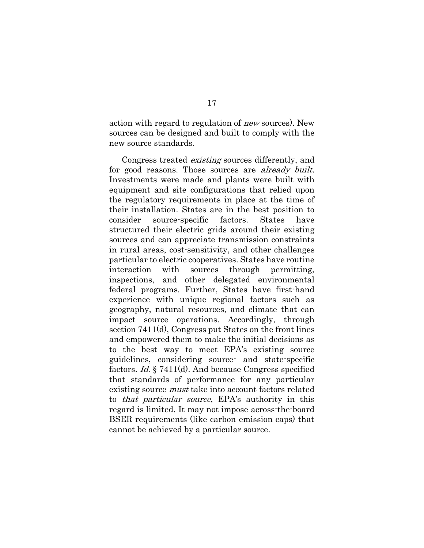action with regard to regulation of new sources). New sources can be designed and built to comply with the new source standards.

<span id="page-24-0"></span>Congress treated existing sources differently, and for good reasons. Those sources are *already built*. Investments were made and plants were built with equipment and site configurations that relied upon the regulatory requirements in place at the time of their installation. States are in the best position to consider source-specific factors. States have structured their electric grids around their existing sources and can appreciate transmission constraints in rural areas, cost-sensitivity, and other challenges particular to electric cooperatives. States have routine interaction with sources through permitting, inspections, and other delegated environmental federal programs. Further, States have first-hand experience with unique regional factors such as geography, natural resources, and climate that can impact source operations. Accordingly, through section 7411(d), Congress put States on the front lines and empowered them to make the initial decisions as to the best way to meet EPA's existing source guidelines, considering source- and state-specific factors. Id. § 7411(d). And because Congress specified that standards of performance for any particular existing source must take into account factors related to that particular source, EPA's authority in this regard is limited. It may not impose across-the-board BSER requirements (like carbon emission caps) that cannot be achieved by a particular source.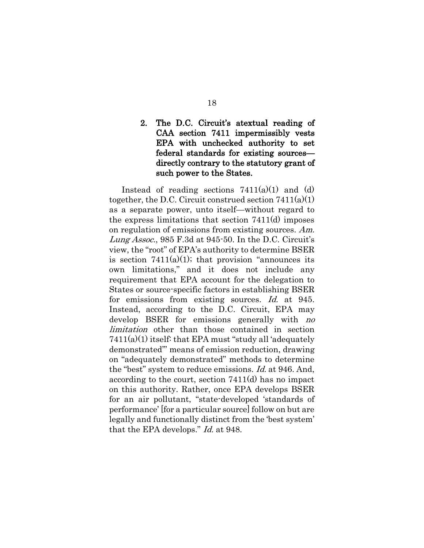### <span id="page-25-1"></span><span id="page-25-0"></span>2. The D.C. Circuit's atextual reading of CAA section 7411 impermissibly vests EPA with unchecked authority to set federal standards for existing sources directly contrary to the statutory grant of such power to the States.

Instead of reading sections  $7411(a)(1)$  and (d) together, the D.C. Circuit construed section 7411(a)(1) as a separate power, unto itself—without regard to the express limitations that section 7411(d) imposes on regulation of emissions from existing sources. Am. Lung Assoc., 985 F.3d at 945-50. In the D.C. Circuit's view, the "root" of EPA's authority to determine BSER is section  $7411(a)(1)$ ; that provision "announces its own limitations," and it does not include any requirement that EPA account for the delegation to States or source-specific factors in establishing BSER for emissions from existing sources. Id. at 945. Instead, according to the D.C. Circuit, EPA may develop BSER for emissions generally with no limitation other than those contained in section 7411(a)(1) itself: that EPA must "study all 'adequately demonstrated'" means of emission reduction, drawing on "adequately demonstrated" methods to determine the "best" system to reduce emissions. Id. at 946. And, according to the court, section 7411(d) has no impact on this authority. Rather, once EPA develops BSER for an air pollutant, "state-developed 'standards of performance' [for a particular source] follow on but are legally and functionally distinct from the 'best system' that the EPA develops." Id. at 948.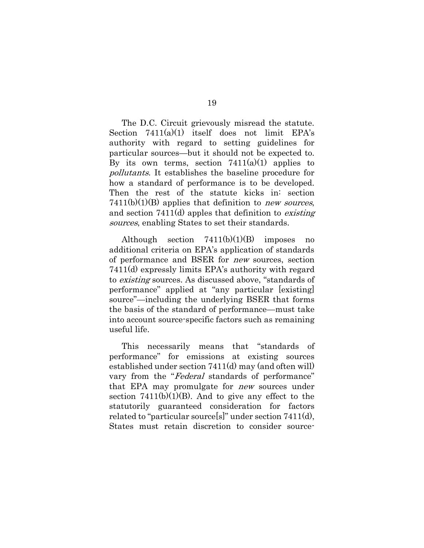<span id="page-26-0"></span>The D.C. Circuit grievously misread the statute. Section  $7411(a)(1)$  itself does not limit EPA's authority with regard to setting guidelines for particular sources—but it should not be expected to. By its own terms, section  $7411(a)(1)$  applies to pollutants. It establishes the baseline procedure for how a standard of performance is to be developed. Then the rest of the statute kicks in: section  $7411(b)(1)(B)$  applies that definition to *new sources*, and section 7411(d) apples that definition to existing sources, enabling States to set their standards.

Although section  $7411(b)(1)(B)$  imposes no additional criteria on EPA's application of standards of performance and BSER for new sources, section 7411(d) expressly limits EPA's authority with regard to existing sources. As discussed above, "standards of performance" applied at "any particular [existing] source"—including the underlying BSER that forms the basis of the standard of performance—must take into account source-specific factors such as remaining useful life.

This necessarily means that "standards of performance" for emissions at existing sources established under section 7411(d) may (and often will) vary from the "Federal standards of performance" that EPA may promulgate for new sources under section  $7411(b)(1)(B)$ . And to give any effect to the statutorily guaranteed consideration for factors related to "particular source[s]" under section 7411(d), States must retain discretion to consider source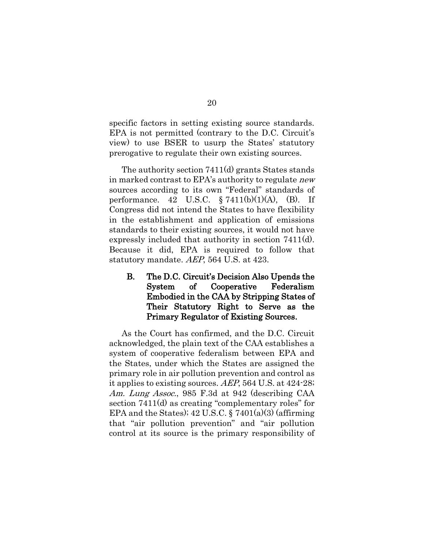specific factors in setting existing source standards. EPA is not permitted (contrary to the D.C. Circuit's view) to use BSER to usurp the States' statutory prerogative to regulate their own existing sources.

The authority section 7411(d) grants States stands in marked contrast to EPA's authority to regulate new sources according to its own "Federal" standards of performance. 42 U.S.C.  $\S 7411(b)(1)(A)$ , (B). If Congress did not intend the States to have flexibility in the establishment and application of emissions standards to their existing sources, it would not have expressly included that authority in section 7411(d). Because it did, EPA is required to follow that statutory mandate. AEP, 564 U.S. at 423.

<span id="page-27-0"></span>B. The D.C. Circuit's Decision Also Upends the System of Cooperative Federalism Embodied in the CAA by Stripping States of Their Statutory Right to Serve as the Primary Regulator of Existing Sources.

<span id="page-27-2"></span><span id="page-27-1"></span>As the Court has confirmed, and the D.C. Circuit acknowledged, the plain text of the CAA establishes a system of cooperative federalism between EPA and the States, under which the States are assigned the primary role in air pollution prevention and control as it applies to existing sources. AEP, 564 U.S. at 424-28; Am. Lung Assoc., 985 F.3d at 942 (describing CAA section 7411(d) as creating "complementary roles" for EPA and the States);  $42 \text{ U.S.C.}$  §  $7401(a)(3)$  (affirming that "air pollution prevention" and "air pollution control at its source is the primary responsibility of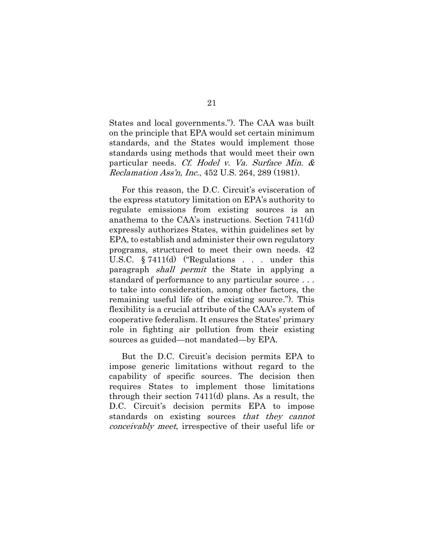States and local governments."). The CAA was built on the principle that EPA would set certain minimum standards, and the States would implement those standards using methods that would meet their own particular needs. Cf. Hodel v. Va. Surface Min. & Reclamation Ass'n, Inc., 452 U.S. 264, 289 (1981).

<span id="page-28-1"></span><span id="page-28-0"></span>For this reason, the D.C. Circuit's evisceration of the express statutory limitation on EPA's authority to regulate emissions from existing sources is an anathema to the CAA's instructions. Section 7411(d) expressly authorizes States, within guidelines set by EPA, to establish and administer their own regulatory programs, structured to meet their own needs. 42 U.S.C. § 7411(d) ("Regulations . . . under this paragraph shall permit the State in applying a standard of performance to any particular source . . . to take into consideration, among other factors, the remaining useful life of the existing source."). This flexibility is a crucial attribute of the CAA's system of cooperative federalism. It ensures the States' primary role in fighting air pollution from their existing sources as guided—not mandated—by EPA.

But the D.C. Circuit's decision permits EPA to impose generic limitations without regard to the capability of specific sources. The decision then requires States to implement those limitations through their section 7411(d) plans. As a result, the D.C. Circuit's decision permits EPA to impose standards on existing sources that they cannot conceivably meet, irrespective of their useful life or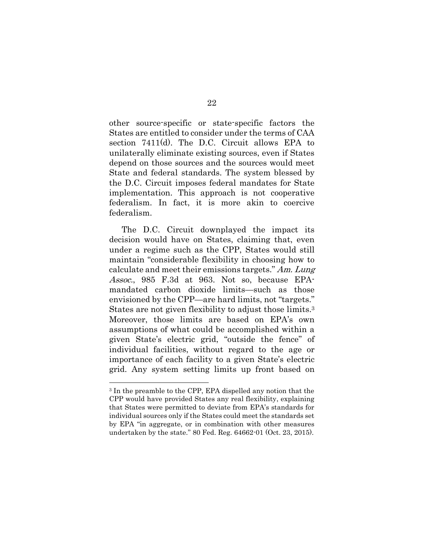other source-specific or state-specific factors the States are entitled to consider under the terms of CAA section 7411(d). The D.C. Circuit allows EPA to unilaterally eliminate existing sources, even if States depend on those sources and the sources would meet State and federal standards. The system blessed by the D.C. Circuit imposes federal mandates for State implementation. This approach is not cooperative federalism. In fact, it is more akin to coercive federalism.

<span id="page-29-0"></span>The D.C. Circuit downplayed the impact its decision would have on States, claiming that, even under a regime such as the CPP, States would still maintain "considerable flexibility in choosing how to calculate and meet their emissions targets." Am. Lung Assoc., 985 F.3d at 963. Not so, because EPAmandated carbon dioxide limits—such as those envisioned by the CPP—are hard limits, not "targets." States are not given flexibility to adjust those limits.<sup>3</sup> Moreover, those limits are based on EPA's own assumptions of what could be accomplished within a given State's electric grid, "outside the fence" of individual facilities, without regard to the age or importance of each facility to a given State's electric grid. Any system setting limits up front based on

<span id="page-29-1"></span><sup>3</sup> In the preamble to the CPP, EPA dispelled any notion that the CPP would have provided States any real flexibility, explaining that States were permitted to deviate from EPA's standards for individual sources only if the States could meet the standards set by EPA "in aggregate, or in combination with other measures undertaken by the state." 80 Fed. Reg. 64662-01 (Oct. 23, 2015).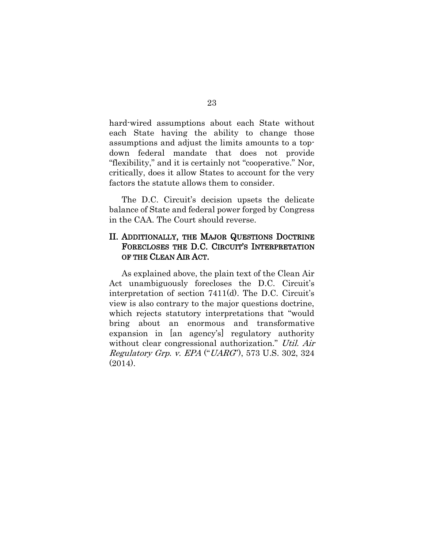hard-wired assumptions about each State without each State having the ability to change those assumptions and adjust the limits amounts to a topdown federal mandate that does not provide "flexibility," and it is certainly not "cooperative." Nor, critically, does it allow States to account for the very factors the statute allows them to consider.

The D.C. Circuit's decision upsets the delicate balance of State and federal power forged by Congress in the CAA. The Court should reverse.

### II. ADDITIONALLY, THE MAJOR QUESTIONS DOCTRINE FORECLOSES THE D.C. CIRCUIT'S INTERPRETATION OF THE CLEAN AIR ACT.

<span id="page-30-0"></span>As explained above, the plain text of the Clean Air Act unambiguously forecloses the D.C. Circuit's interpretation of section 7411(d). The D.C. Circuit's view is also contrary to the major questions doctrine, which rejects statutory interpretations that "would bring about an enormous and transformative expansion in [an agency's] regulatory authority without clear congressional authorization." Util. Air Regulatory Grp. v. EPA ("UARG"), 573 U.S. 302, 324 (2014).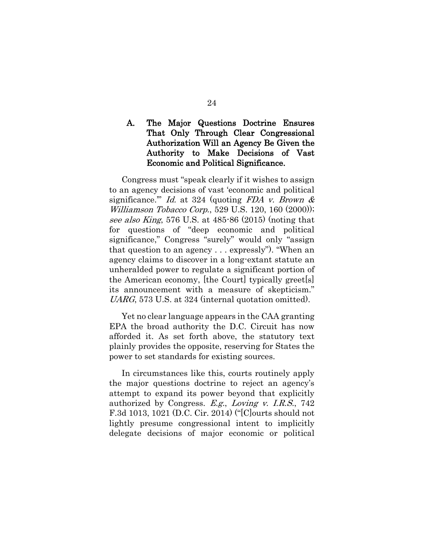### A. The Major Questions Doctrine Ensures That Only Through Clear Congressional Authorization Will an Agency Be Given the Authority to Make Decisions of Vast Economic and Political Significance.

<span id="page-31-3"></span><span id="page-31-1"></span><span id="page-31-0"></span>Congress must "speak clearly if it wishes to assign to an agency decisions of vast 'economic and political significance." Id. at 324 (quoting FDA v. Brown  $\&$ Williamson Tobacco Corp., 529 U.S. 120, 160 (2000)); see also King, 576 U.S. at 485-86 (2015) (noting that for questions of "deep economic and political significance," Congress "surely" would only "assign that question to an agency . . . expressly"). "When an agency claims to discover in a long-extant statute an unheralded power to regulate a significant portion of the American economy, [the Court] typically greet[s] its announcement with a measure of skepticism." UARG, 573 U.S. at 324 (internal quotation omitted).

Yet no clear language appears in the CAA granting EPA the broad authority the D.C. Circuit has now afforded it. As set forth above, the statutory text plainly provides the opposite, reserving for States the power to set standards for existing sources.

<span id="page-31-2"></span>In circumstances like this, courts routinely apply the major questions doctrine to reject an agency's attempt to expand its power beyond that explicitly authorized by Congress.  $E.g., Loving v. I.R.S., 742$ F.3d 1013, 1021 (D.C. Cir. 2014) ("[C]ourts should not lightly presume congressional intent to implicitly delegate decisions of major economic or political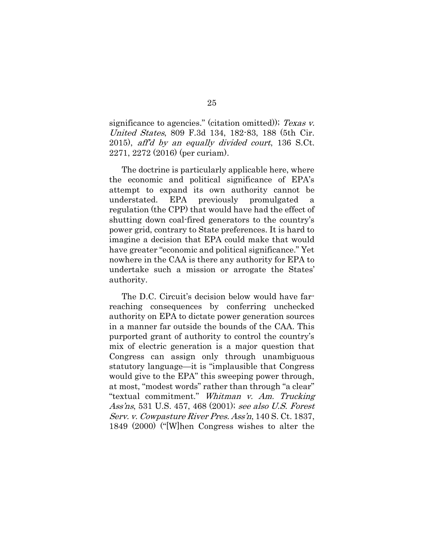<span id="page-32-0"></span>significance to agencies." (citation omitted)); Texas v. United States, 809 F.3d 134, 182-83, 188 (5th Cir. 2015), aff'd by an equally divided court, 136 S.Ct. 2271, 2272 (2016) (per curiam).

The doctrine is particularly applicable here, where the economic and political significance of EPA's attempt to expand its own authority cannot be understated. EPA previously promulgated a regulation (the CPP) that would have had the effect of shutting down coal-fired generators to the country's power grid, contrary to State preferences. It is hard to imagine a decision that EPA could make that would have greater "economic and political significance." Yet nowhere in the CAA is there any authority for EPA to undertake such a mission or arrogate the States' authority.

<span id="page-32-2"></span><span id="page-32-1"></span>The D.C. Circuit's decision below would have farreaching consequences by conferring unchecked authority on EPA to dictate power generation sources in a manner far outside the bounds of the CAA. This purported grant of authority to control the country's mix of electric generation is a major question that Congress can assign only through unambiguous statutory language—it is "implausible that Congress would give to the EPA" this sweeping power through, at most, "modest words" rather than through "a clear" "textual commitment." Whitman v. Am. Trucking Ass'ns, 531 U.S. 457, 468 (2001); see also U.S. Forest Serv. v. Cowpasture River Pres. Ass'n, 140 S. Ct. 1837, 1849 (2000) ("[W]hen Congress wishes to alter the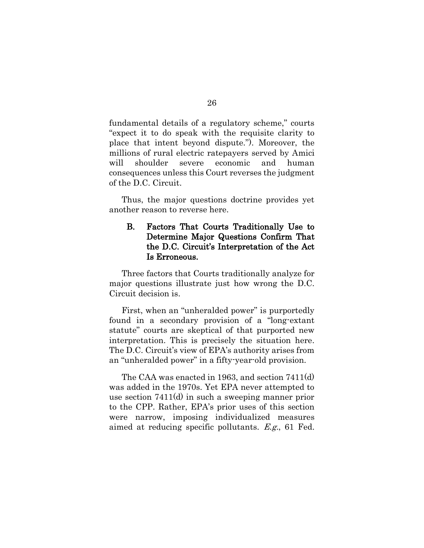fundamental details of a regulatory scheme," courts "expect it to do speak with the requisite clarity to place that intent beyond dispute."). Moreover, the millions of rural electric ratepayers served by Amici will shoulder severe economic and human consequences unless this Court reverses the judgment of the D.C. Circuit.

Thus, the major questions doctrine provides yet another reason to reverse here.

### B. Factors That Courts Traditionally Use to Determine Major Questions Confirm That the D.C. Circuit's Interpretation of the Act Is Erroneous.

Three factors that Courts traditionally analyze for major questions illustrate just how wrong the D.C. Circuit decision is.

First, when an "unheralded power" is purportedly found in a secondary provision of a "long-extant statute" courts are skeptical of that purported new interpretation. This is precisely the situation here. The D.C. Circuit's view of EPA's authority arises from an "unheralded power" in a fifty-year-old provision.

<span id="page-33-0"></span>The CAA was enacted in 1963, and section 7411(d) was added in the 1970s. Yet EPA never attempted to use section 7411(d) in such a sweeping manner prior to the CPP. Rather, EPA's prior uses of this section were narrow, imposing individualized measures aimed at reducing specific pollutants. E.g., 61 Fed.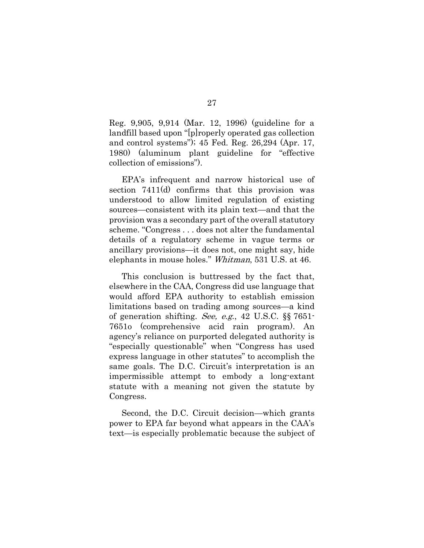<span id="page-34-2"></span>Reg. 9,905, 9,914 (Mar. 12, 1996) (guideline for a landfill based upon "[p]roperly operated gas collection and control systems"); 45 Fed. Reg. 26,294 (Apr. 17, 1980) (aluminum plant guideline for "effective collection of emissions").

EPA's infrequent and narrow historical use of section 7411(d) confirms that this provision was understood to allow limited regulation of existing sources—consistent with its plain text—and that the provision was a secondary part of the overall statutory scheme. "Congress . . . does not alter the fundamental details of a regulatory scheme in vague terms or ancillary provisions—it does not, one might say, hide elephants in mouse holes." Whitman, 531 U.S. at 46.

<span id="page-34-1"></span><span id="page-34-0"></span>This conclusion is buttressed by the fact that, elsewhere in the CAA, Congress did use language that would afford EPA authority to establish emission limitations based on trading among sources—a kind of generation shifting. See, e.g., 42 U.S.C. §§ 7651- 7651o (comprehensive acid rain program). An agency's reliance on purported delegated authority is "especially questionable" when "Congress has used express language in other statutes" to accomplish the same goals. The D.C. Circuit's interpretation is an impermissible attempt to embody a long-extant statute with a meaning not given the statute by Congress.

Second, the D.C. Circuit decision—which grants power to EPA far beyond what appears in the CAA's text—is especially problematic because the subject of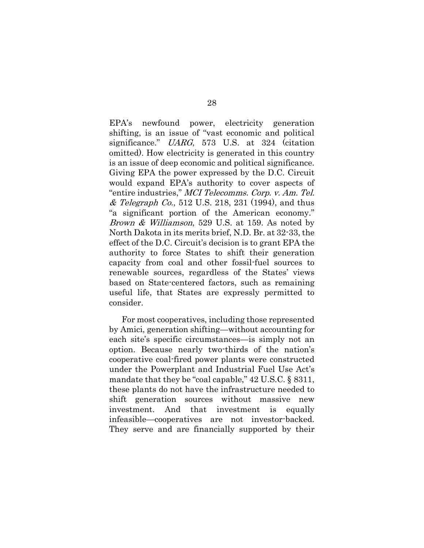<span id="page-35-2"></span><span id="page-35-1"></span>EPA's newfound power, electricity generation shifting, is an issue of "vast economic and political significance." UARG, 573 U.S. at 324 (citation omitted). How electricity is generated in this country is an issue of deep economic and political significance. Giving EPA the power expressed by the D.C. Circuit would expand EPA's authority to cover aspects of "entire industries," MCI Telecomms. Corp. v. Am. Tel. & Telegraph Co., 512 U.S. 218, 231 (1994), and thus "a significant portion of the American economy." Brown & Williamson, 529 U.S. at 159. As noted by North Dakota in its merits brief, N.D. Br. at 32-33, the effect of the D.C. Circuit's decision is to grant EPA the authority to force States to shift their generation capacity from coal and other fossil-fuel sources to renewable sources, regardless of the States' views based on State-centered factors, such as remaining useful life, that States are expressly permitted to consider.

<span id="page-35-3"></span><span id="page-35-0"></span>For most cooperatives, including those represented by Amici, generation shifting—without accounting for each site's specific circumstances—is simply not an option. Because nearly two-thirds of the nation's cooperative coal-fired power plants were constructed under the Powerplant and Industrial Fuel Use Act's mandate that they be "coal capable," 42 U.S.C. § 8311, these plants do not have the infrastructure needed to shift generation sources without massive new investment. And that investment is equally infeasible—cooperatives are not investor-backed. They serve and are financially supported by their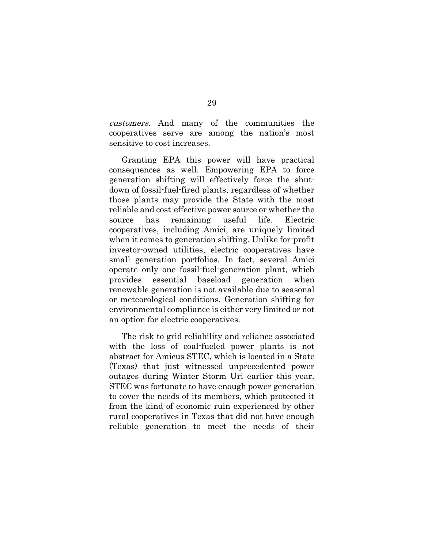customers. And many of the communities the cooperatives serve are among the nation's most sensitive to cost increases.

Granting EPA this power will have practical consequences as well. Empowering EPA to force generation shifting will effectively force the shutdown of fossil-fuel-fired plants, regardless of whether those plants may provide the State with the most reliable and cost-effective power source or whether the source has remaining useful life. Electric cooperatives, including Amici, are uniquely limited when it comes to generation shifting. Unlike for-profit investor-owned utilities, electric cooperatives have small generation portfolios. In fact, several Amici operate only one fossil-fuel-generation plant, which provides essential baseload generation when renewable generation is not available due to seasonal or meteorological conditions. Generation shifting for environmental compliance is either very limited or not an option for electric cooperatives.

The risk to grid reliability and reliance associated with the loss of coal-fueled power plants is not abstract for Amicus STEC, which is located in a State (Texas) that just witnessed unprecedented power outages during Winter Storm Uri earlier this year. STEC was fortunate to have enough power generation to cover the needs of its members, which protected it from the kind of economic ruin experienced by other rural cooperatives in Texas that did not have enough reliable generation to meet the needs of their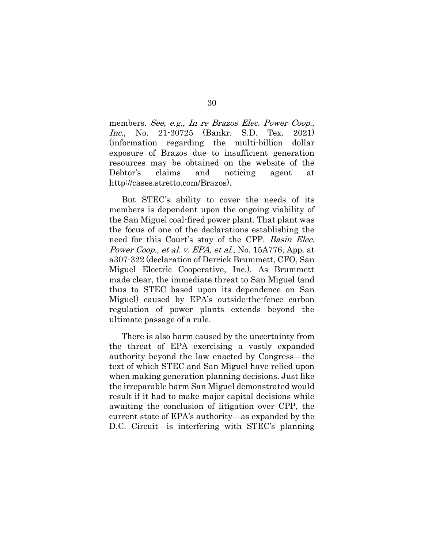<span id="page-37-0"></span>members. See, e.g., In re Brazos Elec. Power Coop., Inc., No. 21-30725 (Bankr. S.D. Tex. 2021) (information regarding the multi-billion dollar exposure of Brazos due to insufficient generation resources may be obtained on the website of the Debtor's claims and noticing agent at http://cases.stretto.com/Brazos).

<span id="page-37-1"></span>But STEC's ability to cover the needs of its members is dependent upon the ongoing viability of the San Miguel coal-fired power plant. That plant was the focus of one of the declarations establishing the need for this Court's stay of the CPP. Basin Elec. Power Coop., et al. v. EPA, et al., No. 15A776, App. at a307-322 (declaration of Derrick Brummett, CFO, San Miguel Electric Cooperative, Inc.). As Brummett made clear, the immediate threat to San Miguel (and thus to STEC based upon its dependence on San Miguel) caused by EPA's outside-the-fence carbon regulation of power plants extends beyond the ultimate passage of a rule.

There is also harm caused by the uncertainty from the threat of EPA exercising a vastly expanded authority beyond the law enacted by Congress—the text of which STEC and San Miguel have relied upon when making generation planning decisions. Just like the irreparable harm San Miguel demonstrated would result if it had to make major capital decisions while awaiting the conclusion of litigation over CPP, the current state of EPA's authority—as expanded by the D.C. Circuit—is interfering with STEC's planning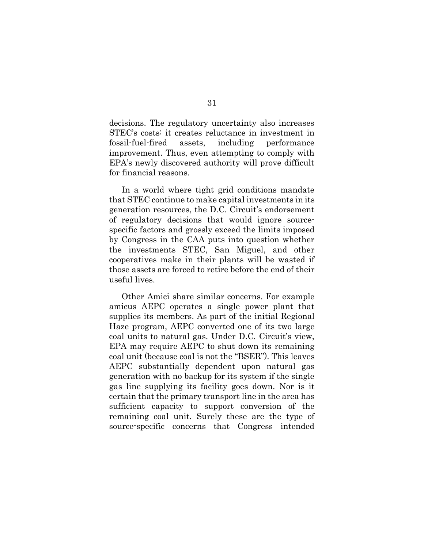decisions. The regulatory uncertainty also increases STEC's costs: it creates reluctance in investment in fossil-fuel-fired assets, including performance improvement. Thus, even attempting to comply with EPA's newly discovered authority will prove difficult for financial reasons.

In a world where tight grid conditions mandate that STEC continue to make capital investments in its generation resources, the D.C. Circuit's endorsement of regulatory decisions that would ignore sourcespecific factors and grossly exceed the limits imposed by Congress in the CAA puts into question whether the investments STEC, San Miguel, and other cooperatives make in their plants will be wasted if those assets are forced to retire before the end of their useful lives.

Other Amici share similar concerns. For example amicus AEPC operates a single power plant that supplies its members. As part of the initial Regional Haze program, AEPC converted one of its two large coal units to natural gas. Under D.C. Circuit's view, EPA may require AEPC to shut down its remaining coal unit (because coal is not the "BSER"). This leaves AEPC substantially dependent upon natural gas generation with no backup for its system if the single gas line supplying its facility goes down. Nor is it certain that the primary transport line in the area has sufficient capacity to support conversion of the remaining coal unit. Surely these are the type of source-specific concerns that Congress intended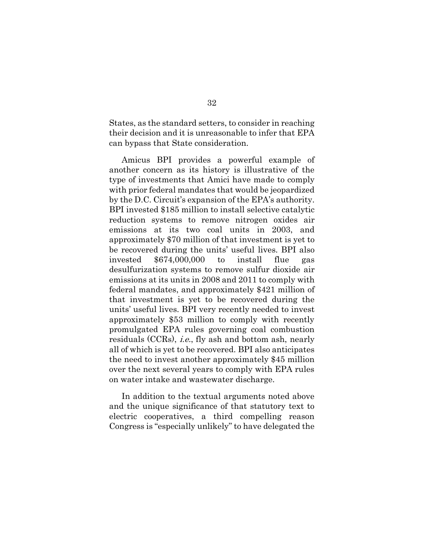States, as the standard setters, to consider in reaching their decision and it is unreasonable to infer that EPA can bypass that State consideration.

Amicus BPI provides a powerful example of another concern as its history is illustrative of the type of investments that Amici have made to comply with prior federal mandates that would be jeopardized by the D.C. Circuit's expansion of the EPA's authority. BPI invested \$185 million to install selective catalytic reduction systems to remove nitrogen oxides air emissions at its two coal units in 2003, and approximately \$70 million of that investment is yet to be recovered during the units' useful lives. BPI also invested \$674,000,000 to install flue gas desulfurization systems to remove sulfur dioxide air emissions at its units in 2008 and 2011 to comply with federal mandates, and approximately \$421 million of that investment is yet to be recovered during the units' useful lives. BPI very recently needed to invest approximately \$53 million to comply with recently promulgated EPA rules governing coal combustion residuals (CCRs), i.e., fly ash and bottom ash, nearly all of which is yet to be recovered. BPI also anticipates the need to invest another approximately \$45 million over the next several years to comply with EPA rules on water intake and wastewater discharge.

In addition to the textual arguments noted above and the unique significance of that statutory text to electric cooperatives, a third compelling reason Congress is "especially unlikely" to have delegated the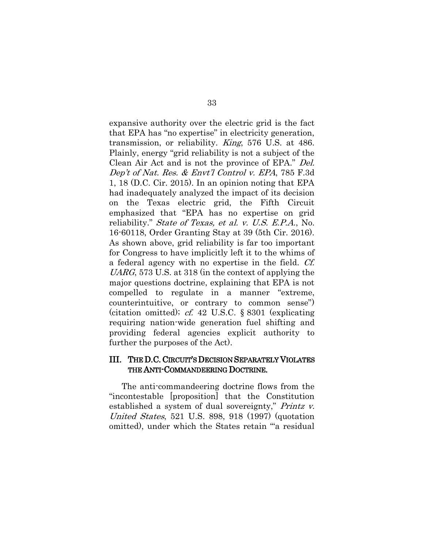<span id="page-40-5"></span><span id="page-40-1"></span><span id="page-40-0"></span>expansive authority over the electric grid is the fact that EPA has "no expertise" in electricity generation, transmission, or reliability. King, 576 U.S. at 486. Plainly, energy "grid reliability is not a subject of the Clean Air Act and is not the province of EPA." Del. Dep't of Nat. Res. & Envt'l Control v. EPA, 785 F.3d 1, 18 (D.C. Cir. 2015). In an opinion noting that EPA had inadequately analyzed the impact of its decision on the Texas electric grid, the Fifth Circuit emphasized that "EPA has no expertise on grid reliability." State of Texas, et al. v. U.S. E.P.A., No. 16-60118, Order Granting Stay at 39 (5th Cir. 2016). As shown above, grid reliability is far too important for Congress to have implicitly left it to the whims of a federal agency with no expertise in the field. Cf. UARG, 573 U.S. at 318 (in the context of applying the major questions doctrine, explaining that EPA is not compelled to regulate in a manner "extreme, counterintuitive, or contrary to common sense") (citation omitted); cf. 42 U.S.C. § 8301 (explicating requiring nation-wide generation fuel shifting and providing federal agencies explicit authority to further the purposes of the Act).

### <span id="page-40-4"></span><span id="page-40-3"></span>III. THE D.C. CIRCUIT'S DECISION SEPARATELY VIOLATES THE ANTI-COMMANDEERING DOCTRINE.

<span id="page-40-2"></span>The anti-commandeering doctrine flows from the "incontestable [proposition] that the Constitution established a system of dual sovereignty," Printz v. United States, 521 U.S. 898, 918 (1997) (quotation omitted), under which the States retain "'a residual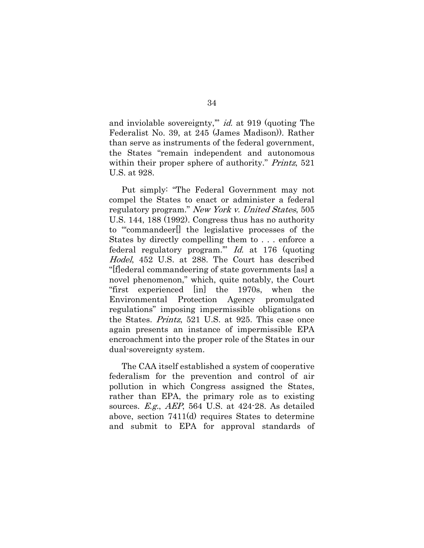<span id="page-41-3"></span>and inviolable sovereignty,'" id. at 919 (quoting The Federalist No. 39, at 245 (James Madison)). Rather than serve as instruments of the federal government, the States "remain independent and autonomous within their proper sphere of authority." *Printz*, 521 U.S. at 928.

<span id="page-41-2"></span><span id="page-41-1"></span>Put simply: "The Federal Government may not compel the States to enact or administer a federal regulatory program." New York v. United States, 505 U.S. 144, 188 (1992). Congress thus has no authority to "'commandeer[] the legislative processes of the States by directly compelling them to . . . enforce a federal regulatory program.'" Id. at 176 (quoting Hodel, 452 U.S. at 288. The Court has described "[f]ederal commandeering of state governments [as] a novel phenomenon," which, quite notably, the Court "first experienced [in] the 1970s, when the Environmental Protection Agency promulgated regulations" imposing impermissible obligations on the States. Printz, 521 U.S. at 925. This case once again presents an instance of impermissible EPA encroachment into the proper role of the States in our dual-sovereignty system.

<span id="page-41-0"></span>The CAA itself established a system of cooperative federalism for the prevention and control of air pollution in which Congress assigned the States, rather than EPA, the primary role as to existing sources. E.g., AEP, 564 U.S. at 424-28. As detailed above, section 7411(d) requires States to determine and submit to EPA for approval standards of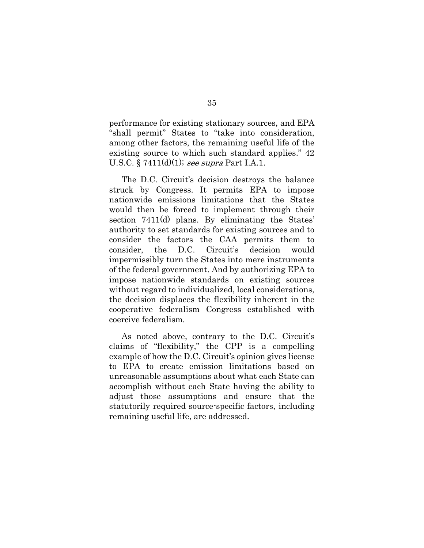<span id="page-42-0"></span>performance for existing stationary sources, and EPA "shall permit" States to "take into consideration, among other factors, the remaining useful life of the existing source to which such standard applies." 42 U.S.C. § 7411(d)(1); see supra Part I.A.1.

The D.C. Circuit's decision destroys the balance struck by Congress. It permits EPA to impose nationwide emissions limitations that the States would then be forced to implement through their section 7411(d) plans. By eliminating the States' authority to set standards for existing sources and to consider the factors the CAA permits them to consider, the D.C. Circuit's decision would impermissibly turn the States into mere instruments of the federal government. And by authorizing EPA to impose nationwide standards on existing sources without regard to individualized, local considerations, the decision displaces the flexibility inherent in the cooperative federalism Congress established with coercive federalism.

As noted above, contrary to the D.C. Circuit's claims of "flexibility," the CPP is a compelling example of how the D.C. Circuit's opinion gives license to EPA to create emission limitations based on unreasonable assumptions about what each State can accomplish without each State having the ability to adjust those assumptions and ensure that the statutorily required source-specific factors, including remaining useful life, are addressed.